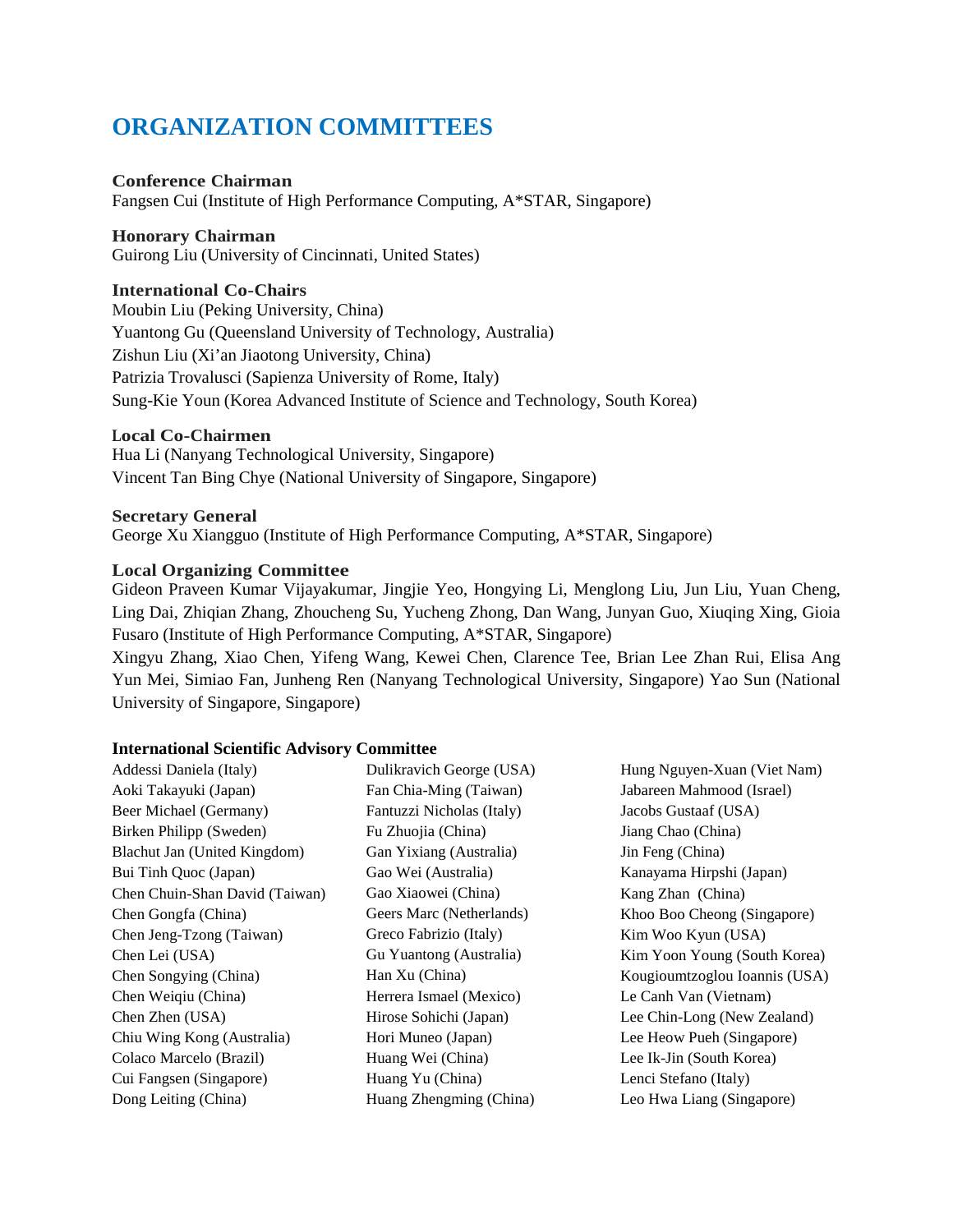# **ORGANIZATION COMMITTEES**

## **Conference Chairman**

Fangsen Cui (Institute of High Performance Computing, A\*STAR, Singapore)

## **Honorary Chairman**

Guirong Liu (University of Cincinnati, United States)

## **International Co-Chairs**

Moubin Liu (Peking University, China) Yuantong Gu (Queensland University of Technology, Australia) Zishun Liu (Xi'an Jiaotong University, China) Patrizia Trovalusci (Sapienza University of Rome, Italy) Sung-Kie Youn (Korea Advanced Institute of Science and Technology, South Korea)

## **Local Co-Chairmen**

Hua Li (Nanyang Technological University, Singapore) Vincent Tan Bing Chye (National University of Singapore, Singapore)

## **Secretary General**

George Xu Xiangguo (Institute of High Performance Computing, A\*STAR, Singapore)

## **Local Organizing Committee**

Gideon Praveen Kumar Vijayakumar, Jingjie Yeo, Hongying Li, Menglong Liu, Jun Liu, Yuan Cheng, Ling Dai, Zhiqian Zhang, Zhoucheng Su, Yucheng Zhong, Dan Wang, Junyan Guo, Xiuqing Xing, Gioia Fusaro (Institute of High Performance Computing, A\*STAR, Singapore)

Xingyu Zhang, Xiao Chen, Yifeng Wang, Kewei Chen, Clarence Tee, Brian Lee Zhan Rui, Elisa Ang Yun Mei, Simiao Fan, Junheng Ren (Nanyang Technological University, Singapore) Yao Sun (National University of Singapore, Singapore)

### **International Scientific Advisory Committee**

| Addessi Daniela (Italy)        | Dulikravich George (USA)  | Hung Nguyen-Xuan (Viet Nam)   |
|--------------------------------|---------------------------|-------------------------------|
| Aoki Takayuki (Japan)          | Fan Chia-Ming (Taiwan)    | Jabareen Mahmood (Israel)     |
| Beer Michael (Germany)         | Fantuzzi Nicholas (Italy) | Jacobs Gustaaf (USA)          |
| Birken Philipp (Sweden)        | Fu Zhuojia (China)        | Jiang Chao (China)            |
| Blachut Jan (United Kingdom)   | Gan Yixiang (Australia)   | Jin Feng (China)              |
| Bui Tinh Quoc (Japan)          | Gao Wei (Australia)       | Kanayama Hirpshi (Japan)      |
| Chen Chuin-Shan David (Taiwan) | Gao Xiaowei (China)       | Kang Zhan (China)             |
| Chen Gongfa (China)            | Geers Marc (Netherlands)  | Khoo Boo Cheong (Singapore)   |
| Chen Jeng-Tzong (Taiwan)       | Greco Fabrizio (Italy)    | Kim Woo Kyun (USA)            |
| Chen Lei (USA)                 | Gu Yuantong (Australia)   | Kim Yoon Young (South Korea)  |
| Chen Songying (China)          | Han Xu (China)            | Kougioumtzoglou Ioannis (USA) |
| Chen Weiqiu (China)            | Herrera Ismael (Mexico)   | Le Canh Van (Vietnam)         |
| Chen Zhen (USA)                | Hirose Sohichi (Japan)    | Lee Chin-Long (New Zealand)   |
| Chiu Wing Kong (Australia)     | Hori Muneo (Japan)        | Lee Heow Pueh (Singapore)     |
| Colaco Marcelo (Brazil)        | Huang Wei (China)         | Lee Ik-Jin (South Korea)      |
| Cui Fangsen (Singapore)        | Huang Yu (China)          | Lenci Stefano (Italy)         |
| Dong Leiting (China)           | Huang Zhengming (China)   | Leo Hwa Liang (Singapore)     |
|                                |                           |                               |